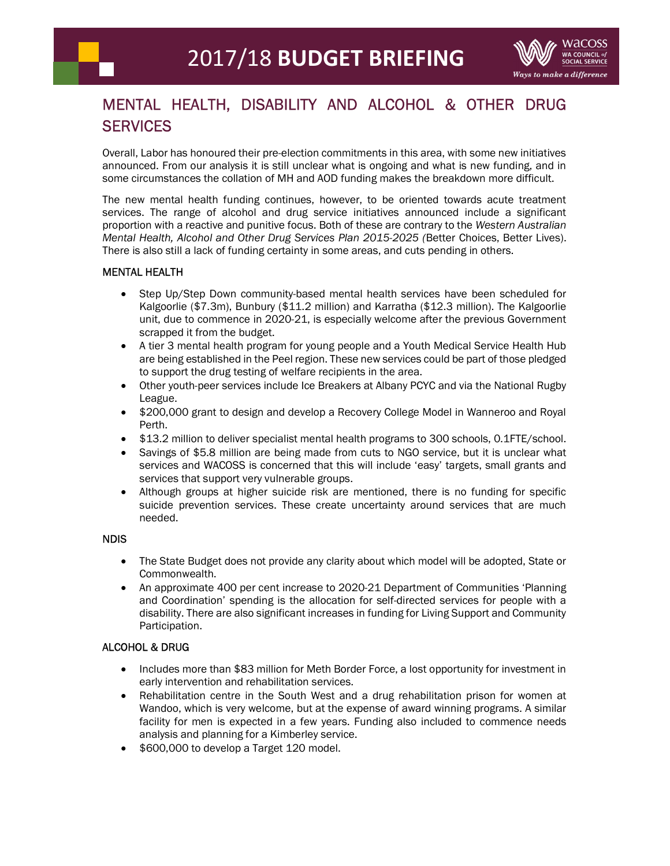

## MENTAL HEALTH, DISABILITY AND ALCOHOL & OTHER DRUG **SERVICES**

Overall, Labor has honoured their pre-election commitments in this area, with some new initiatives announced. From our analysis it is still unclear what is ongoing and what is new funding, and in some circumstances the collation of MH and AOD funding makes the breakdown more difficult.

The new mental health funding continues, however, to be oriented towards acute treatment services. The range of alcohol and drug service initiatives announced include a significant proportion with a reactive and punitive focus. Both of these are contrary to the Western Australian Mental Health, Alcohol and Other Drug Services Plan 2015-2025 (Better Choices, Better Lives). There is also still a lack of funding certainty in some areas, and cuts pending in others.

## MENTAL HEALTH

- Step Up/Step Down community-based mental health services have been scheduled for Kalgoorlie (\$7.3m), Bunbury (\$11.2 million) and Karratha (\$12.3 million). The Kalgoorlie unit, due to commence in 2020-21, is especially welcome after the previous Government scrapped it from the budget.
- A tier 3 mental health program for young people and a Youth Medical Service Health Hub are being established in the Peel region. These new services could be part of those pledged to support the drug testing of welfare recipients in the area.
- Other youth-peer services include Ice Breakers at Albany PCYC and via the National Rugby League.
- \$200,000 grant to design and develop a Recovery College Model in Wanneroo and Royal Perth.
- \$13.2 million to deliver specialist mental health programs to 300 schools, 0.1FTE/school.
- Savings of \$5.8 million are being made from cuts to NGO service, but it is unclear what services and WACOSS is concerned that this will include 'easy' targets, small grants and services that support very vulnerable groups.
- Although groups at higher suicide risk are mentioned, there is no funding for specific suicide prevention services. These create uncertainty around services that are much needed.

## NDIS

- The State Budget does not provide any clarity about which model will be adopted, State or Commonwealth.
- An approximate 400 per cent increase to 2020-21 Department of Communities 'Planning and Coordination' spending is the allocation for self-directed services for people with a disability. There are also significant increases in funding for Living Support and Community Participation.

## ALCOHOL & DRUG

- Includes more than \$83 million for Meth Border Force, a lost opportunity for investment in early intervention and rehabilitation services.
- Rehabilitation centre in the South West and a drug rehabilitation prison for women at Wandoo, which is very welcome, but at the expense of award winning programs. A similar facility for men is expected in a few years. Funding also included to commence needs analysis and planning for a Kimberley service.
- \$600,000 to develop a Target 120 model.